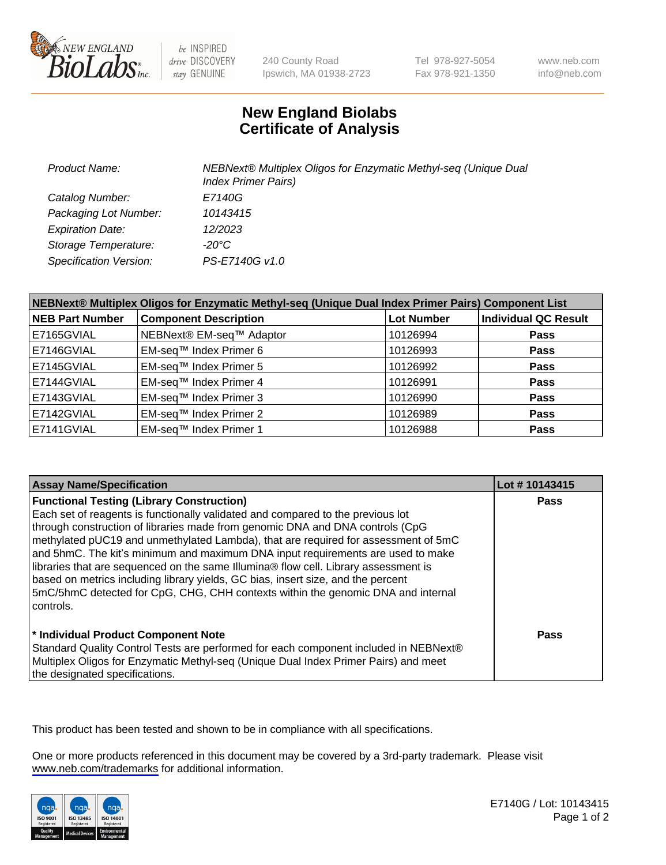

be INSPIRED drive DISCOVERY stay GENUINE

240 County Road Ipswich, MA 01938-2723 Tel 978-927-5054 Fax 978-921-1350

www.neb.com info@neb.com

## **New England Biolabs Certificate of Analysis**

| <b>Product Name:</b>    | NEBNext® Multiplex Oligos for Enzymatic Methyl-seq (Unique Dual<br><b>Index Primer Pairs)</b> |
|-------------------------|-----------------------------------------------------------------------------------------------|
| Catalog Number:         | E7140G                                                                                        |
| Packaging Lot Number:   | 10143415                                                                                      |
| <b>Expiration Date:</b> | 12/2023                                                                                       |
| Storage Temperature:    | -20°C                                                                                         |
| Specification Version:  | PS-E7140G v1.0                                                                                |

| NEBNext® Multiplex Oligos for Enzymatic Methyl-seq (Unique Dual Index Primer Pairs) Component List |                              |                   |                             |  |
|----------------------------------------------------------------------------------------------------|------------------------------|-------------------|-----------------------------|--|
| <b>NEB Part Number</b>                                                                             | <b>Component Description</b> | <b>Lot Number</b> | <b>Individual QC Result</b> |  |
| E7165GVIAL                                                                                         | NEBNext® EM-seq™ Adaptor     | 10126994          | <b>Pass</b>                 |  |
| E7146GVIAL                                                                                         | EM-seq™ Index Primer 6       | 10126993          | <b>Pass</b>                 |  |
| E7145GVIAL                                                                                         | EM-seq™ Index Primer 5       | 10126992          | <b>Pass</b>                 |  |
| E7144GVIAL                                                                                         | EM-seq™ Index Primer 4       | 10126991          | <b>Pass</b>                 |  |
| E7143GVIAL                                                                                         | EM-seq™ Index Primer 3       | 10126990          | <b>Pass</b>                 |  |
| E7142GVIAL                                                                                         | EM-seq™ Index Primer 2       | 10126989          | <b>Pass</b>                 |  |
| E7141GVIAL                                                                                         | EM-seq™ Index Primer 1       | 10126988          | <b>Pass</b>                 |  |

| <b>Assay Name/Specification</b>                                                      | Lot #10143415 |
|--------------------------------------------------------------------------------------|---------------|
| <b>Functional Testing (Library Construction)</b>                                     | <b>Pass</b>   |
| Each set of reagents is functionally validated and compared to the previous lot      |               |
| through construction of libraries made from genomic DNA and DNA controls (CpG        |               |
| methylated pUC19 and unmethylated Lambda), that are required for assessment of 5mC   |               |
| and 5hmC. The kit's minimum and maximum DNA input requirements are used to make      |               |
| libraries that are sequenced on the same Illumina® flow cell. Library assessment is  |               |
| based on metrics including library yields, GC bias, insert size, and the percent     |               |
| 5mC/5hmC detected for CpG, CHG, CHH contexts within the genomic DNA and internal     |               |
| l controls.                                                                          |               |
|                                                                                      |               |
| * Individual Product Component Note                                                  | Pass          |
| Standard Quality Control Tests are performed for each component included in NEBNext® |               |
| Multiplex Oligos for Enzymatic Methyl-seq (Unique Dual Index Primer Pairs) and meet  |               |
| the designated specifications.                                                       |               |

This product has been tested and shown to be in compliance with all specifications.

One or more products referenced in this document may be covered by a 3rd-party trademark. Please visit <www.neb.com/trademarks>for additional information.